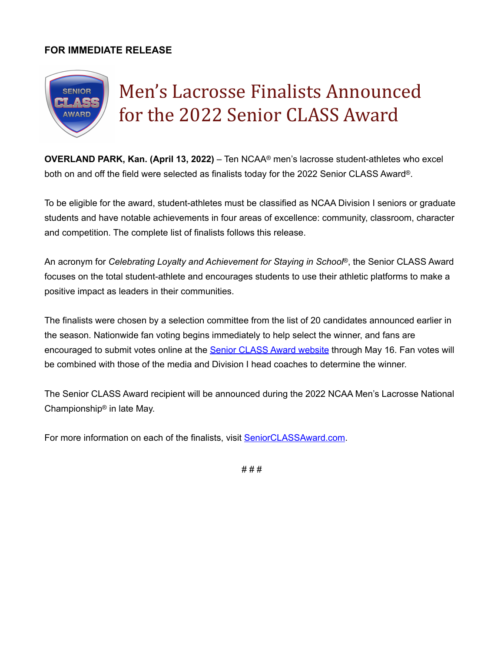## **FOR IMMEDIATE RELEASE**



**OVERLAND PARK, Kan. (April 13, 2022)** – Ten NCAA® men's lacrosse student-athletes who excel both on and off the field were selected as finalists today for the 2022 Senior CLASS Award®.

To be eligible for the award, student-athletes must be classified as NCAA Division I seniors or graduate students and have notable achievements in four areas of excellence: community, classroom, character and competition. The complete list of finalists follows this release.

An acronym for *Celebrating Loyalty and Achievement for Staying in School*®, the Senior CLASS Award focuses on the total student-athlete and encourages students to use their athletic platforms to make a positive impact as leaders in their communities.

The finalists were chosen by a selection committee from the list of 20 candidates announced earlier in the season. Nationwide fan voting begins immediately to help select the winner, and fans are encouraged to submit votes online at the **Senior CLASS Award website** through May 16. Fan votes will be combined with those of the media and Division I head coaches to determine the winner.

The Senior CLASS Award recipient will be announced during the 2022 NCAA Men's Lacrosse National Championship® in late May.

For more information on each of the finalists, visit [SeniorCLASSAward.com](http://SeniorCLASSAward.com).

# # #